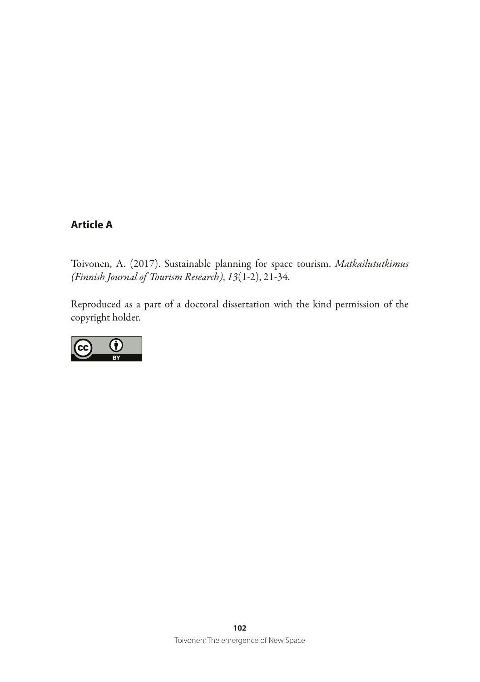# **Article A**

Toivonen, A. (2017). Sustainable planning for space tourism. *Matkailututkimus (Finnish Journal of Tourism Research)*, *13*(1-2), 21-34.

Reproduced as a part of a doctoral dissertation with the kind permission of the copyright holder.

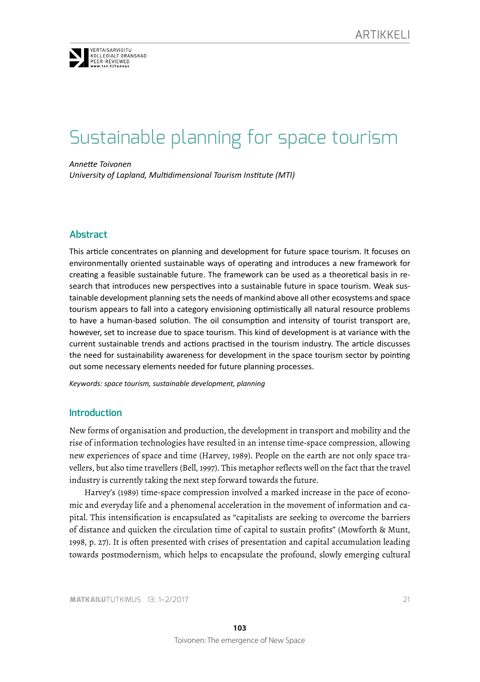

tekstillä varustettu ja tekstillä varustettu ja tekstillä varustettu ja tekstillä varustettu ja tekstitön. Tän

# Sustainable planning for space tourism

*Annete Toivonen*  3. Elektronisissa julkaisuissa on suositeltavaa merkitä tunnuksen teks-

*unistis vertaisi*<br>University of Lapland, Multidimensional Tourism Institute (MTI)

# **Abstract**

This article concentrates on planning and development for future space tourism. It focuses on environmentally oriented sustainable ways of operating and introduces a new framework for creating a feasible sustainable future. The framework can be used as a theoretical basis in research that introduces new perspectives into a sustainable future in space tourism. Weak sustainable development planning sets the needs of mankind above all other ecosystems and space tourism appears to fall into a category envisioning optmistcally all natural resource problems to have a human-based solution. The oil consumption and intensity of tourist transport are, however, set to increase due to space tourism. This kind of development is at variance with the current sustainable trends and actions practised in the tourism industry. The article discusses the need for sustainability awareness for development in the space tourism sector by pointing out some necessary elements needed for future planning processes.

*Keywords: space tourism, sustainable development, planning* 

#### **Introduction**

New forms of organisation and production, the development in transport and mobility and the rise of information technologies have resulted in an intense time-space compression, allowing new experiences of space and time (Harvey, 1989). People on the earth are not only space travellers, but also time travellers (Bell, 1997). This metaphor reflects well on the fact that the travel industry is currently taking the next step forward towards the future.

Harvey's (1989) time-space compression involved a marked increase in the pace of economic and everyday life and a phenomenal acceleration in the movement of information and capital. This intensifcation is encapsulated as "capitalists are seeking to overcome the barriers of distance and quicken the circulation time of capital to sustain profts" (Mowforth & Munt, 1998, p. 27). It is often presented with crises of presentation and capital accumulation leading towards postmodernism, which helps to encapsulate the profound, slowly emerging cultural

**MATKAILU**TUTKIMUS 13: 1–2/2017 21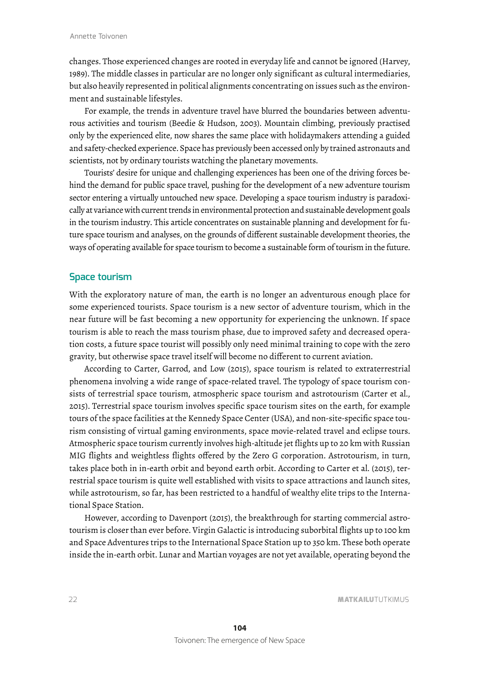changes. Those experienced changes are rooted in everyday life and cannot be ignored (Harvey, 1989). The middle classes in particular are no longer only signifcant as cultural intermediaries, but also heavily represented in political alignments concentrating on issues such as the environment and sustainable lifestyles.

For example, the trends in adventure travel have blurred the boundaries between adventurous activities and tourism (Beedie & Hudson, 2003). Mountain climbing, previously practised only by the experienced elite, now shares the same place with holidaymakers attending a guided and safety-checked experience. Space has previously been accessed only by trained astronauts and scientists, not by ordinary tourists watching the planetary movements.

Tourists' desire for unique and challenging experiences has been one of the driving forces behind the demand for public space travel, pushing for the development of a new adventure tourism sector entering a virtually untouched new space. Developing a space tourism industry is paradoxically at variance with current trends in environmental protection and sustainable development goals in the tourism industry. This article concentrates on sustainable planning and development for future space tourism and analyses, on the grounds of different sustainable development theories, the ways of operating available for space tourism to become a sustainable form of tourism in the future.

#### **Space tourism**

With the exploratory nature of man, the earth is no longer an adventurous enough place for some experienced tourists. Space tourism is a new sector of adventure tourism, which in the near future will be fast becoming a new opportunity for experiencing the unknown. If space tourism is able to reach the mass tourism phase, due to improved safety and decreased operation costs, a future space tourist will possibly only need minimal training to cope with the zero gravity, but otherwise space travel itself will become no different to current aviation.

According to Carter, Garrod, and Low (2015), space tourism is related to extraterrestrial phenomena involving a wide range of space-related travel. The typology of space tourism consists of terrestrial space tourism, atmospheric space tourism and astrotourism (Carter et al., 2015). Terrestrial space tourism involves specifc space tourism sites on the earth, for example tours of the space facilities at the Kennedy Space Center (USA), and non-site-specifc space tourism consisting of virtual gaming environments, space movie-related travel and eclipse tours. Atmospheric space tourism currently involves high-altitude jet flights up to 20 km with Russian MIG flights and weightless flights offered by the Zero G corporation. Astrotourism, in turn, takes place both in in-earth orbit and beyond earth orbit. According to Carter et al. (2015), terrestrial space tourism is quite well established with visits to space attractions and launch sites, while astrotourism, so far, has been restricted to a handful of wealthy elite trips to the International Space Station.

However, according to Davenport (2015), the breakthrough for starting commercial astrotourism is closer than ever before. Virgin Galactic is introducing suborbital flights up to 100 km and Space Adventures trips to the International Space Station up to 350 km. These both operate inside the in-earth orbit. Lunar and Martian voyages are not yet available, operating beyond the

22 MATERIALUTUTKIMUS 2020 MATERIALUT UTKIMUS 2020 MATERIALUT UTKIMUS 2020 MATERIALUT UTKIMUS 2020 MATERIALUT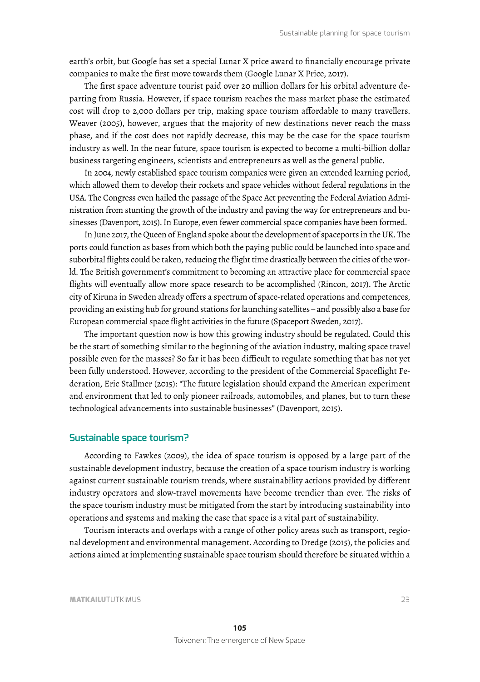earth's orbit, but Google has set a special Lunar X price award to fnancially encourage private companies to make the frst move towards them (Google Lunar X Price, 2017).

The frst space adventure tourist paid over 20 million dollars for his orbital adventure departing from Russia. However, if space tourism reaches the mass market phase the estimated cost will drop to 2,000 dollars per trip, making space tourism affordable to many travellers. Weaver (2005), however, argues that the majority of new destinations never reach the mass phase, and if the cost does not rapidly decrease, this may be the case for the space tourism industry as well. In the near future, space tourism is expected to become a multi-billion dollar business targeting engineers, scientists and entrepreneurs as well as the general public.

In 2004, newly established space tourism companies were given an extended learning period, which allowed them to develop their rockets and space vehicles without federal regulations in the USA. The Congress even hailed the passage of the Space Act preventing the Federal Aviation Administration from stunting the growth of the industry and paving the way for entrepreneurs and businesses (Davenport, 2015). In Europe, even fewer commercial space companies have been formed.

In June 2017, the Queen of England spoke about the development of spaceports in the UK. The ports could function as bases from which both the paying public could be launched into space and suborbital flights could be taken, reducing the flight time drastically between the cities of the world. The British government's commitment to becoming an attractive place for commercial space flights will eventually allow more space research to be accomplished (Rincon, 2017). The Arctic city of Kiruna in Sweden already offers a spectrum of space-related operations and competences, providing an existing hub for ground stations for launching satellites – and possibly also a base for European commercial space flight activities in the future (Spaceport Sweden, 2017).

The important question now is how this growing industry should be regulated. Could this be the start of something similar to the beginning of the aviation industry, making space travel possible even for the masses? So far it has been diffcult to regulate something that has not yet been fully understood. However, according to the president of the Commercial Spaceflight Federation, Eric Stallmer (2015): "The future legislation should expand the American experiment and environment that led to only pioneer railroads, automobiles, and planes, but to turn these technological advancements into sustainable businesses" (Davenport, 2015).

#### **Sustainable space tourism?**

According to Fawkes (2009), the idea of space tourism is opposed by a large part of the sustainable development industry, because the creation of a space tourism industry is working against current sustainable tourism trends, where sustainability actions provided by different industry operators and slow-travel movements have become trendier than ever. The risks of the space tourism industry must be mitigated from the start by introducing sustainability into operations and systems and making the case that space is a vital part of sustainability.

Tourism interacts and overlaps with a range of other policy areas such as transport, regional development and environmental management. According to Dredge (2015), the policies and actions aimed at implementing sustainable space tourism should therefore be situated within a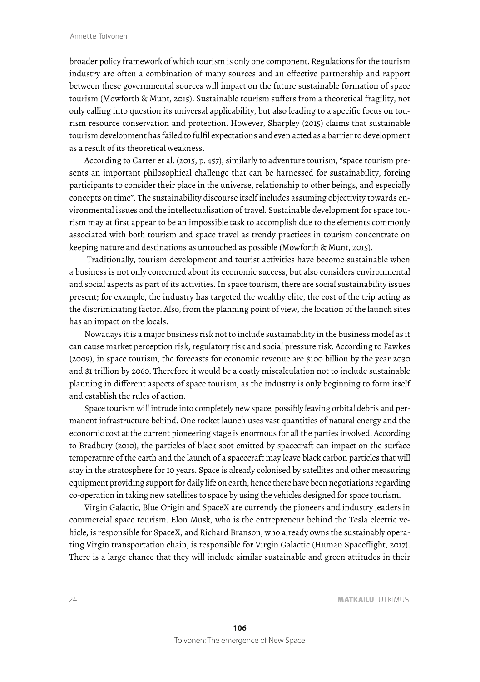broader policy framework of which tourism is only one component. Regulations for the tourism industry are often a combination of many sources and an effective partnership and rapport between these governmental sources will impact on the future sustainable formation of space tourism (Mowforth & Munt, 2015). Sustainable tourism suffers from a theoretical fragility, not only calling into question its universal applicability, but also leading to a specifc focus on tourism resource conservation and protection. However, Sharpley (2015) claims that sustainable tourism development has failed to fulfl expectations and even acted as a barrier to development as a result of its theoretical weakness.

According to Carter et al. (2015, p. 457), similarly to adventure tourism, "space tourism presents an important philosophical challenge that can be harnessed for sustainability, forcing participants to consider their place in the universe, relationship to other beings, and especially concepts on time" . The sustainability discourse itself includes assuming objectivity towards environmental issues and the intellectualisation of travel. Sustainable development for space tourism may at frst appear to be an impossible task to accomplish due to the elements commonly associated with both tourism and space travel as trendy practices in tourism concentrate on keeping nature and destinations as untouched as possible (Mowforth & Munt, 2015).

 Traditionally, tourism development and tourist activities have become sustainable when a business is not only concerned about its economic success, but also considers environmental and social aspects as part of its activities. In space tourism, there are social sustainability issues present; for example, the industry has targeted the wealthy elite, the cost of the trip acting as the discriminating factor. Also, from the planning point of view, the location of the launch sites has an impact on the locals.

Nowadays it is a major business risk not to include sustainability in the business model as it can cause market perception risk, regulatory risk and social pressure risk. According to Fawkes (2009), in space tourism, the forecasts for economic revenue are \$100 billion by the year 2030 and \$1 trillion by 2060. Therefore it would be a costly miscalculation not to include sustainable planning in different aspects of space tourism, as the industry is only beginning to form itself and establish the rules of action.

Space tourism will intrude into completely new space, possibly leaving orbital debris and permanent infrastructure behind. One rocket launch uses vast quantities of natural energy and the economic cost at the current pioneering stage is enormous for all the parties involved. According to Bradbury (2010), the particles of black soot emitted by spacecraft can impact on the surface temperature of the earth and the launch of a spacecraft may leave black carbon particles that will stay in the stratosphere for 10 years. Space is already colonised by satellites and other measuring equipment providing support for daily life on earth, hence there have been negotiations regarding co-operation in taking new satellites to space by using the vehicles designed for space tourism.

Virgin Galactic, Blue Origin and SpaceX are currently the pioneers and industry leaders in commercial space tourism. Elon Musk, who is the entrepreneur behind the Tesla electric vehicle, is responsible for SpaceX, and Richard Branson, who already owns the sustainably operating Virgin transportation chain, is responsible for Virgin Galactic (Human Spaceflight, 2017). There is a large chance that they will include similar sustainable and green attitudes in their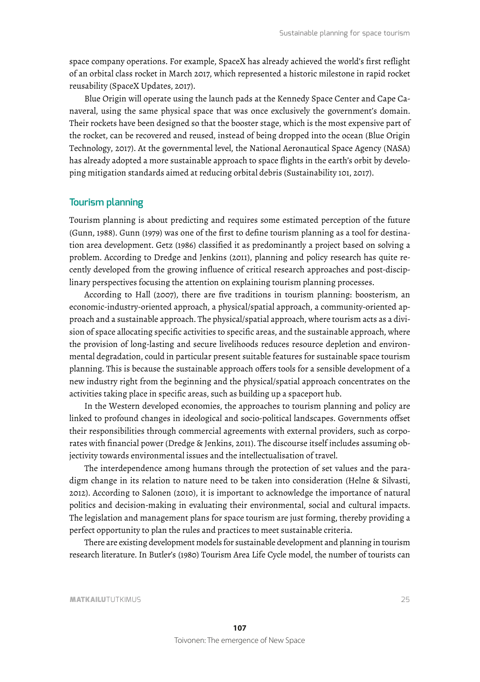space company operations. For example, SpaceX has already achieved the world's frst reflight of an orbital class rocket in March 2017, which represented a historic milestone in rapid rocket reusability (SpaceX Updates, 2017).

Blue Origin will operate using the launch pads at the Kennedy Space Center and Cape Canaveral, using the same physical space that was once exclusively the government's domain. Their rockets have been designed so that the booster stage, which is the most expensive part of the rocket, can be recovered and reused, instead of being dropped into the ocean (Blue Origin Technology, 2017). At the governmental level, the National Aeronautical Space Agency (NASA) has already adopted a more sustainable approach to space flights in the earth's orbit by developing mitigation standards aimed at reducing orbital debris (Sustainability 101, 2017).

## **Tourism planning**

Tourism planning is about predicting and requires some estimated perception of the future (Gunn, 1988). Gunn (1979) was one of the frst to defne tourism planning as a tool for destination area development. Getz (1986) classifed it as predominantly a project based on solving a problem. According to Dredge and Jenkins (2011), planning and policy research has quite recently developed from the growing influence of critical research approaches and post-disciplinary perspectives focusing the attention on explaining tourism planning processes.

According to Hall (2007), there are fve traditions in tourism planning: boosterism, an economic-industry-oriented approach, a physical/spatial approach, a community-oriented approach and a sustainable approach. The physical/spatial approach, where tourism acts as a division of space allocating specifc activities to specifc areas, and the sustainable approach, where the provision of long-lasting and secure livelihoods reduces resource depletion and environmental degradation, could in particular present suitable features for sustainable space tourism planning. This is because the sustainable approach offers tools for a sensible development of a new industry right from the beginning and the physical/spatial approach concentrates on the activities taking place in specifc areas, such as building up a spaceport hub.

In the Western developed economies, the approaches to tourism planning and policy are linked to profound changes in ideological and socio-political landscapes. Governments offset their responsibilities through commercial agreements with external providers, such as corporates with fnancial power (Dredge & Jenkins, 2011). The discourse itself includes assuming objectivity towards environmental issues and the intellectualisation of travel.

The interdependence among humans through the protection of set values and the paradigm change in its relation to nature need to be taken into consideration (Helne & Silvasti, 2012). According to Salonen (2010), it is important to acknowledge the importance of natural politics and decision-making in evaluating their environmental, social and cultural impacts. The legislation and management plans for space tourism are just forming, thereby providing a perfect opportunity to plan the rules and practices to meet sustainable criteria.

There are existing development models for sustainable development and planning in tourism research literature. In Butler's (1980) Tourism Area Life Cycle model, the number of tourists can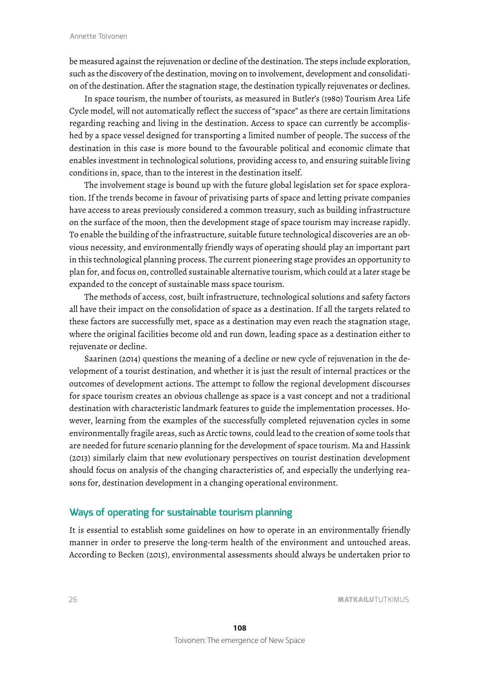be measured against the rejuvenation or decline of the destination. The steps include exploration, such as the discovery of the destination, moving on to involvement, development and consolidation of the destination. After the stagnation stage, the destination typically rejuvenates or declines.

In space tourism, the number of tourists, as measured in Butler's (1980) Tourism Area Life Cycle model, will not automatically reflect the success of "space" as there are certain limitations regarding reaching and living in the destination. Access to space can currently be accomplished by a space vessel designed for transporting a limited number of people. The success of the destination in this case is more bound to the favourable political and economic climate that enables investment in technological solutions, providing access to, and ensuring suitable living conditions in, space, than to the interest in the destination itself.

The involvement stage is bound up with the future global legislation set for space exploration. If the trends become in favour of privatising parts of space and letting private companies have access to areas previously considered a common treasury, such as building infrastructure on the surface of the moon, then the development stage of space tourism may increase rapidly. To enable the building of the infrastructure, suitable future technological discoveries are an obvious necessity, and environmentally friendly ways of operating should play an important part in this technological planning process. The current pioneering stage provides an opportunity to plan for, and focus on, controlled sustainable alternative tourism, which could at a later stage be expanded to the concept of sustainable mass space tourism.

The methods of access, cost, built infrastructure, technological solutions and safety factors all have their impact on the consolidation of space as a destination. If all the targets related to these factors are successfully met, space as a destination may even reach the stagnation stage, where the original facilities become old and run down, leading space as a destination either to rejuvenate or decline.

Saarinen (2014) questions the meaning of a decline or new cycle of rejuvenation in the development of a tourist destination, and whether it is just the result of internal practices or the outcomes of development actions. The attempt to follow the regional development discourses for space tourism creates an obvious challenge as space is a vast concept and not a traditional destination with characteristic landmark features to guide the implementation processes. However, learning from the examples of the successfully completed rejuvenation cycles in some environmentally fragile areas, such as Arctic towns, could lead to the creation of some tools that are needed for future scenario planning for the development of space tourism. Ma and Hassink (2013) similarly claim that new evolutionary perspectives on tourist destination development should focus on analysis of the changing characteristics of, and especially the underlying reasons for, destination development in a changing operational environment.

# **Ways of operating for sustainable tourism planning**

It is essential to establish some guidelines on how to operate in an environmentally friendly manner in order to preserve the long-term health of the environment and untouched areas. According to Becken (2015), environmental assessments should always be undertaken prior to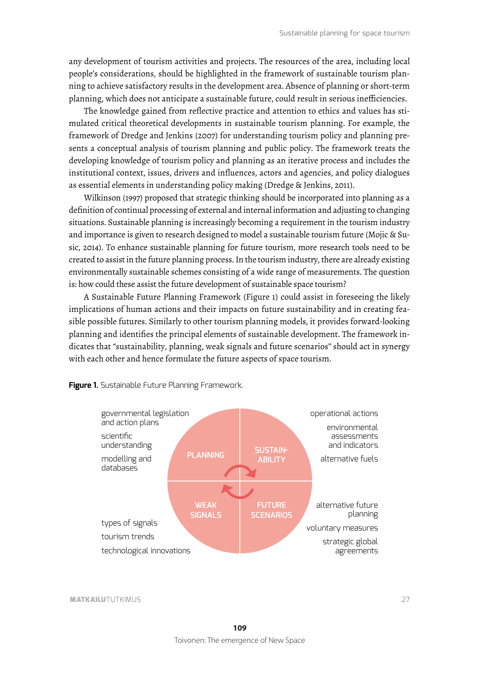any development of tourism activities and projects. The resources of the area, including local people's considerations, should be highlighted in the framework of sustainable tourism planning to achieve satisfactory results in the development area. Absence of planning or short-term planning, which does not anticipate a sustainable future, could result in serious ineffciencies.

The knowledge gained from reflective practice and attention to ethics and values has stimulated critical theoretical developments in sustainable tourism planning. For example, the framework of Dredge and Jenkins (2007) for understanding tourism policy and planning presents a conceptual analysis of tourism planning and public policy. The framework treats the developing knowledge of tourism policy and planning as an iterative process and includes the institutional context, issues, drivers and influences, actors and agencies, and policy dialogues as essential elements in understanding policy making (Dredge & Jenkins, 2011).

Wilkinson (1997) proposed that strategic thinking should be incorporated into planning as a defnition of continual processing of external and internal information and adjusting to changing situations. Sustainable planning is increasingly becoming a requirement in the tourism industry and importance is given to research designed to model a sustainable tourism future (Mojic & Susic, 2014). To enhance sustainable planning for future tourism, more research tools need to be created to assist in the future planning process. In the tourism industry, there are already existing environmentally sustainable schemes consisting of a wide range of measurements. The question is: how could these assist the future development of sustainable space tourism?

A Sustainable Future Planning Framework (Figure 1) could assist in foreseeing the likely implications of human actions and their impacts on future sustainability and in creating feasible possible futures. Similarly to other tourism planning models, it provides forward-looking planning and identifes the principal elements of sustainable development. The framework indicates that "sustainability, planning, weak signals and future scenarios" should act in synergy with each other and hence formulate the future aspects of space tourism.



**Figure 1.** Sustainable Future Planning Framework.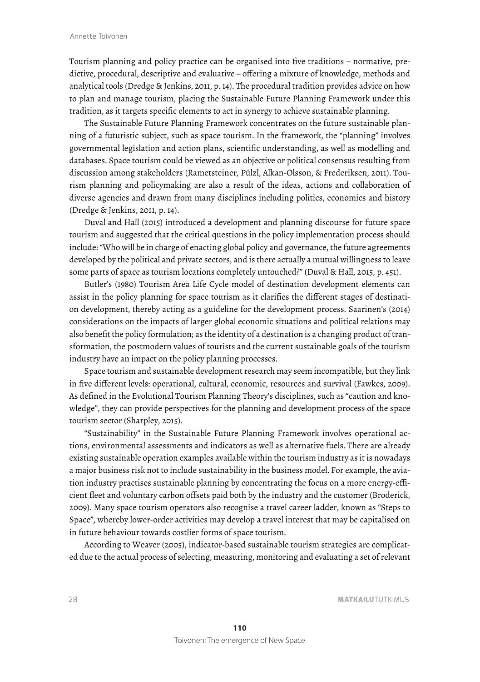Tourism planning and policy practice can be organised into fve traditions – normative, predictive, procedural, descriptive and evaluative – offering a mixture of knowledge, methods and analytical tools (Dredge & Jenkins, 2011, p. 14). The procedural tradition provides advice on how to plan and manage tourism, placing the Sustainable Future Planning Framework under this tradition, as it targets specifc elements to act in synergy to achieve sustainable planning.

The Sustainable Future Planning Framework concentrates on the future sustainable planning of a futuristic subject, such as space tourism. In the framework, the "planning" involves governmental legislation and action plans, scientifc understanding, as well as modelling and databases. Space tourism could be viewed as an objective or political consensus resulting from discussion among stakeholders (Rametsteiner, Pülzl, Alkan-Olsson, & Frederiksen, 2011). Tourism planning and policymaking are also a result of the ideas, actions and collaboration of diverse agencies and drawn from many disciplines including politics, economics and history (Dredge & Jenkins, 2011, p. 14).

Duval and Hall (2015) introduced a development and planning discourse for future space tourism and suggested that the critical questions in the policy implementation process should include: " Who will be in charge of enacting global policy and governance, the future agreements developed by the political and private sectors, and is there actually a mutual willingness to leave some parts of space as tourism locations completely untouched?" (Duval & Hall, 2015, p. 451).

Butler's (1980) Tourism Area Life Cycle model of destination development elements can assist in the policy planning for space tourism as it clarifes the different stages of destination development, thereby acting as a guideline for the development process. Saarinen's (2014) considerations on the impacts of larger global economic situations and political relations may also beneft the policy formulation; as the identity of a destination is a changing product of transformation, the postmodern values of tourists and the current sustainable goals of the tourism industry have an impact on the policy planning processes.

Space tourism and sustainable development research may seem incompatible, but they link in five different levels: operational, cultural, economic, resources and survival (Fawkes, 2009). As defned in the Evolutional Tourism Planning Theory's disciplines, such as "caution and knowledge", they can provide perspectives for the planning and development process of the space tourism sector (Sharpley, 2015).

"Sustainability" in the Sustainable Future Planning Framework involves operational actions, environmental assessments and indicators as well as alternative fuels. There are already existing sustainable operation examples available within the tourism industry as it is nowadays a major business risk not to include sustainability in the business model. For example, the aviation industry practises sustainable planning by concentrating the focus on a more energy-effcient fleet and voluntary carbon offsets paid both by the industry and the customer (Broderick, 2009). Many space tourism operators also recognise a travel career ladder, known as "Steps to Space", whereby lower-order activities may develop a travel interest that may be capitalised on in future behaviour towards costlier forms of space tourism.

According to Weaver (2005), indicator-based sustainable tourism strategies are complicated due to the actual process of selecting, measuring, monitoring and evaluating a set of relevant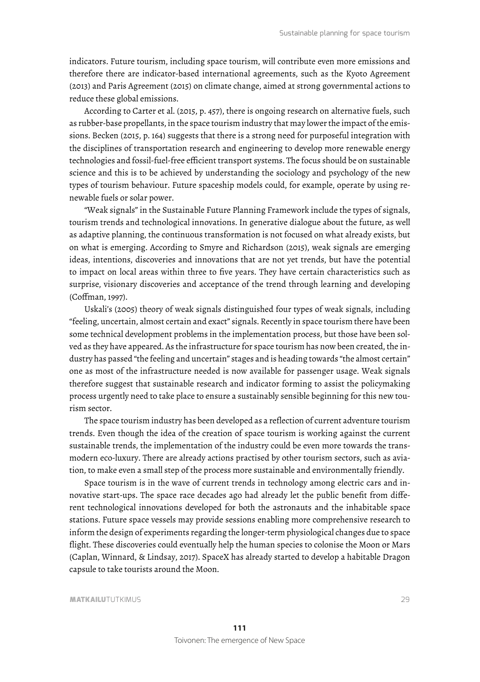indicators. Future tourism, including space tourism, will contribute even more emissions and therefore there are indicator-based international agreements, such as the Kyoto Agreement (2013) and Paris Agreement (2015) on climate change, aimed at strong governmental actions to reduce these global emissions.

According to Carter et al. (2015, p. 457), there is ongoing research on alternative fuels, such as rubber-base propellants, in the space tourism industry that may lower the impact of the emissions. Becken (2015, p. 164) suggests that there is a strong need for purposeful integration with the disciplines of transportation research and engineering to develop more renewable energy technologies and fossil-fuel-free effcient transport systems. The focus should be on sustainable science and this is to be achieved by understanding the sociology and psychology of the new types of tourism behaviour. Future spaceship models could, for example, operate by using renewable fuels or solar power.

"Weak signals" in the Sustainable Future Planning Framework include the types of signals, tourism trends and technological innovations. In generative dialogue about the future, as well as adaptive planning, the continuous transformation is not focused on what already exists, but on what is emerging. According to Smyre and Richardson (2015), weak signals are emerging ideas, intentions, discoveries and innovations that are not yet trends, but have the potential to impact on local areas within three to fve years. They have certain characteristics such as surprise, visionary discoveries and acceptance of the trend through learning and developing (Coffman, 1997).

Uskali's (2005) theory of weak signals distinguished four types of weak signals, including "feeling, uncertain, almost certain and exact" signals. Recently in space tourism there have been some technical development problems in the implementation process, but those have been solved as they have appeared. As the infrastructure for space tourism has now been created, the industry has passed "the feeling and uncertain" stages and is heading towards "the almost certain" one as most of the infrastructure needed is now available for passenger usage. Weak signals therefore suggest that sustainable research and indicator forming to assist the policymaking process urgently need to take place to ensure a sustainably sensible beginning for this new tourism sector.

The space tourism industry has been developed as a reflection of current adventure tourism trends. Even though the idea of the creation of space tourism is working against the current sustainable trends, the implementation of the industry could be even more towards the transmodern eco-luxury. There are already actions practised by other tourism sectors, such as aviation, to make even a small step of the process more sustainable and environmentally friendly.

Space tourism is in the wave of current trends in technology among electric cars and innovative start-ups. The space race decades ago had already let the public beneft from different technological innovations developed for both the astronauts and the inhabitable space stations. Future space vessels may provide sessions enabling more comprehensive research to inform the design of experiments regarding the longer-term physiological changes due to space flight. These discoveries could eventually help the human species to colonise the Moon or Mars (Caplan, Winnard, & Lindsay, 2017). SpaceX has already started to develop a habitable Dragon capsule to take tourists around the Moon.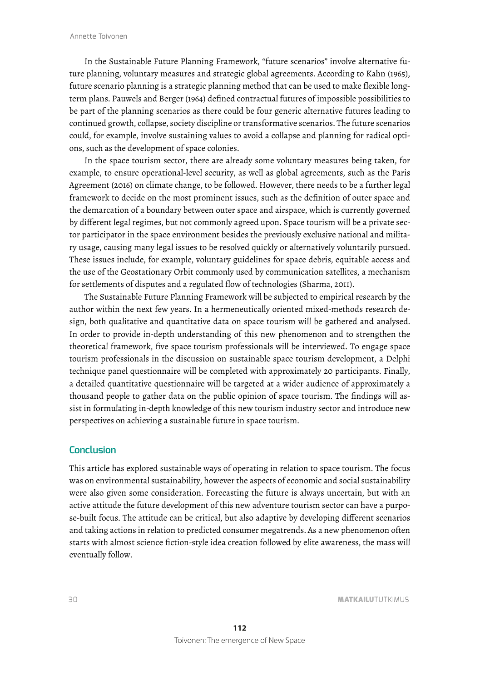In the Sustainable Future Planning Framework, "future scenarios" involve alternative future planning, voluntary measures and strategic global agreements. According to Kahn (1965), future scenario planning is a strategic planning method that can be used to make flexible longterm plans. Pauwels and Berger (1964) defned contractual futures of impossible possibilities to be part of the planning scenarios as there could be four generic alternative futures leading to continued growth, collapse, society discipline or transformative scenarios. The future scenarios could, for example, involve sustaining values to avoid a collapse and planning for radical options, such as the development of space colonies.

In the space tourism sector, there are already some voluntary measures being taken, for example, to ensure operational-level security, as well as global agreements, such as the Paris Agreement (2016) on climate change, to be followed. However, there needs to be a further legal framework to decide on the most prominent issues, such as the defnition of outer space and the demarcation of a boundary between outer space and airspace, which is currently governed by different legal regimes, but not commonly agreed upon. Space tourism will be a private sector participator in the space environment besides the previously exclusive national and military usage, causing many legal issues to be resolved quickly or alternatively voluntarily pursued. These issues include, for example, voluntary guidelines for space debris, equitable access and the use of the Geostationary Orbit commonly used by communication satellites, a mechanism for settlements of disputes and a regulated flow of technologies (Sharma, 2011).

The Sustainable Future Planning Framework will be subjected to empirical research by the author within the next few years. In a hermeneutically oriented mixed-methods research design, both qualitative and quantitative data on space tourism will be gathered and analysed. In order to provide in-depth understanding of this new phenomenon and to strengthen the theoretical framework, fve space tourism professionals will be interviewed. To engage space tourism professionals in the discussion on sustainable space tourism development, a Delphi technique panel questionnaire will be completed with approximately 20 participants. Finally, a detailed quantitative questionnaire will be targeted at a wider audience of approximately a thousand people to gather data on the public opinion of space tourism. The fndings will assist in formulating in-depth knowledge of this new tourism industry sector and introduce new perspectives on achieving a sustainable future in space tourism.

#### **Conclusion**

This article has explored sustainable ways of operating in relation to space tourism. The focus was on environmental sustainability, however the aspects of economic and social sustainability were also given some consideration. Forecasting the future is always uncertain, but with an active attitude the future development of this new adventure tourism sector can have a purpose-built focus. The attitude can be critical, but also adaptive by developing different scenarios and taking actions in relation to predicted consumer megatrends. As a new phenomenon often starts with almost science fction-style idea creation followed by elite awareness, the mass will eventually follow.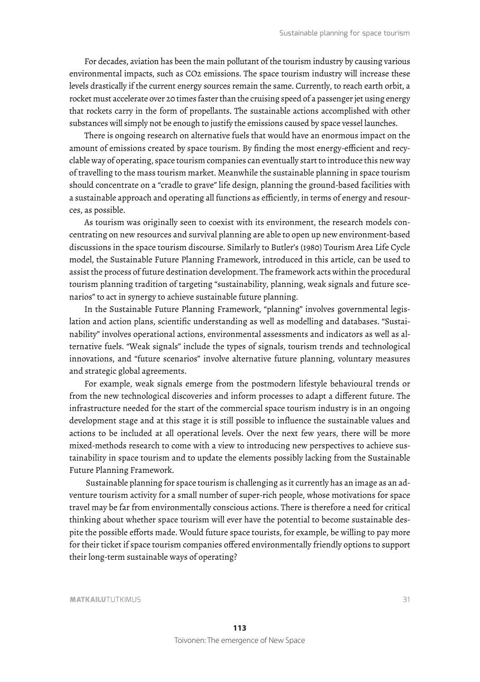For decades, aviation has been the main pollutant of the tourism industry by causing various environmental impacts, such as CO2 emissions. The space tourism industry will increase these levels drastically if the current energy sources remain the same. Currently, to reach earth orbit, a rocket must accelerate over 20 times faster than the cruising speed of a passenger jet using energy that rockets carry in the form of propellants. The sustainable actions accomplished with other substances will simply not be enough to justify the emissions caused by space vessel launches.

There is ongoing research on alternative fuels that would have an enormous impact on the amount of emissions created by space tourism. By fnding the most energy-effcient and recyclable way of operating, space tourism companies can eventually start to introduce this new way of travelling to the mass tourism market. Meanwhile the sustainable planning in space tourism should concentrate on a "cradle to grave" life design, planning the ground-based facilities with a sustainable approach and operating all functions as effciently, in terms of energy and resources, as possible.

As tourism was originally seen to coexist with its environment, the research models concentrating on new resources and survival planning are able to open up new environment-based discussions in the space tourism discourse. Similarly to Butler's (1980) Tourism Area Life Cycle model, the Sustainable Future Planning Framework, introduced in this article, can be used to assist the process of future destination development. The framework acts within the procedural tourism planning tradition of targeting "sustainability, planning, weak signals and future scenarios" to act in synergy to achieve sustainable future planning.

In the Sustainable Future Planning Framework, "planning" involves governmental legislation and action plans, scientifc understanding as well as modelling and databases. "Sustainability" involves operational actions, environmental assessments and indicators as well as alternative fuels. "Weak signals" include the types of signals, tourism trends and technological innovations, and "future scenarios" involve alternative future planning, voluntary measures and strategic global agreements.

For example, weak signals emerge from the postmodern lifestyle behavioural trends or from the new technological discoveries and inform processes to adapt a different future. The infrastructure needed for the start of the commercial space tourism industry is in an ongoing development stage and at this stage it is still possible to influence the sustainable values and actions to be included at all operational levels. Over the next few years, there will be more mixed-methods research to come with a view to introducing new perspectives to achieve sustainability in space tourism and to update the elements possibly lacking from the Sustainable Future Planning Framework.

 Sustainable planning for space tourism is challenging as it currently has an image as an adventure tourism activity for a small number of super-rich people, whose motivations for space travel may be far from environmentally conscious actions. There is therefore a need for critical thinking about whether space tourism will ever have the potential to become sustainable despite the possible efforts made. Would future space tourists, for example, be willing to pay more for their ticket if space tourism companies offered environmentally friendly options to support their long-term sustainable ways of operating?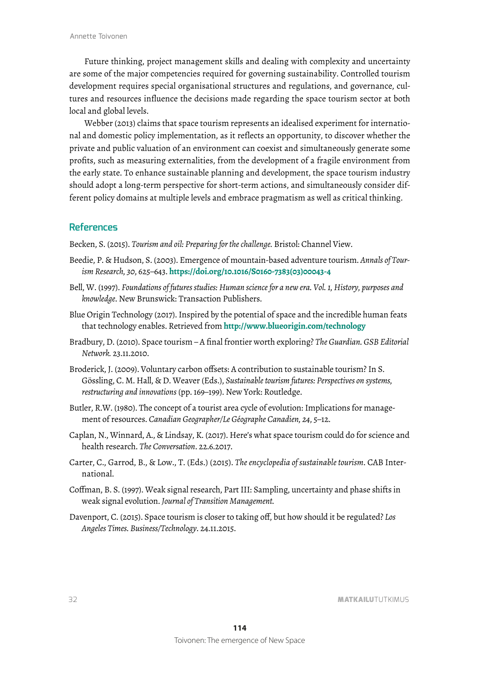Future thinking, project management skills and dealing with complexity and uncertainty are some of the major competencies required for governing sustainability. Controlled tourism development requires special organisational structures and regulations, and governance, cultures and resources influence the decisions made regarding the space tourism sector at both local and global levels.

Webber (2013) claims that space tourism represents an idealised experiment for international and domestic policy implementation, as it reflects an opportunity, to discover whether the private and public valuation of an environment can coexist and simultaneously generate some profts, such as measuring externalities, from the development of a fragile environment from the early state. To enhance sustainable planning and development, the space tourism industry should adopt a long-term perspective for short-term actions, and simultaneously consider different policy domains at multiple levels and embrace pragmatism as well as critical thinking.

## **References**

Becken, S. (2015). *Tourism and oil: Preparing for the challenge.* Bristol: Channel View.

- Beedie, P. & Hudson, S. (2003). Emergence of mountain-based adventure tourism. *Annals of Tourism Research, 30*, 625–643. **https://doi.org/10.1016/S0160-7383(03)00043-4**
- Bell, W. (1997). *Foundations of futures studies: Human science for a new era. Vol. 1, History, purposes and knowledge*. New Brunswick: Transaction Publishers.
- Blue Origin Technology (2017). Inspired by the potential of space and the incredible human feats that technology enables. Retrieved from **http://www.blueorigin.com/technology**
- Bradbury, D. (2010). Space tourism A fnal frontier worth exploring? *The Guardian. GSB Editorial Network.* 23.11.2010.
- Broderick, J. (2009). Voluntary carbon offsets: A contribution to sustainable tourism? In S. Gössling, C. M. Hall, & D. Weaver (Eds.), *Sustainable tourism futures: Perspectives on systems, restructuring and innovations* (pp. 169–199). New York: Routledge.
- Butler, R.W. (1980). The concept of a tourist area cycle of evolution: Implications for management of resources. *Canadian Geographer/Le Géographe Canadien, 24*, 5–12.
- Caplan, N., Winnard, A., & Lindsay, K. (2017). Here's what space tourism could do for science and health research. *The Conversation*. 22.6.2017.
- Carter, C., Garrod, B., & Low., T. (Eds.) (2015). *The encyclopedia of sustainable tourism*. CAB International.
- Coffman, B. S. (1997). Weak signal research, Part III: Sampling, uncertainty and phase shifts in weak signal evolution. *Journal of Transition Management.*
- Davenport, C. (2015). Space tourism is closer to taking off, but how should it be regulated? *Los Angeles Times. Business/Technology*. 24.11.2015.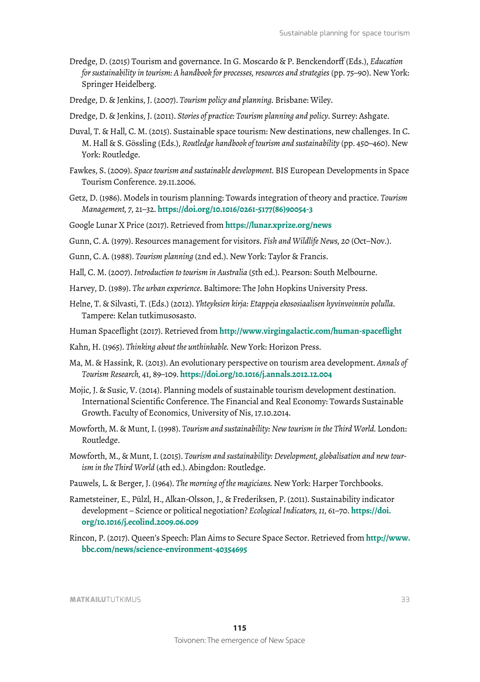- Dredge, D. (2015) Tourism and governance. In G. Moscardo & P. Benckendorff (Eds.), *Education for sustainability in tourism: A handbook for processes, resources and strategies* (pp. 75–90). New York: Springer Heidelberg.
- Dredge, D. & Jenkins, J. (2007). *Tourism policy and planning.* Brisbane: Wiley.
- Dredge, D. & Jenkins, J. (2011). *Stories of practice: Tourism planning and policy*. Surrey: Ashgate.
- Duval, T. & Hall, C. M. (2015). Sustainable space tourism: New destinations, new challenges. In C. M. Hall & S. Gössling (Eds.), *Routledge handbook of tourism and sustainability* (pp. 450–460). New York: Routledge.
- Fawkes, S. (2009). *Space tourism and sustainable development*. BIS European Developments in Space Tourism Conference. 29.11.2006.
- Getz, D. (1986). Models in tourism planning: Towards integration of theory and practice. *Tourism Management, 7*, 21–32. **https://doi.org/10.1016/0261-5177(86)90054-3**
- Google Lunar X Price (2017). Retrieved from **https://lunar.xprize.org/news**
- Gunn, C. A. (1979). Resources management for visitors. *Fish and Wildlife News, 20* (Oct–Nov.).
- Gunn, C. A. (1988). *Tourism planning* (2nd ed.). New York: Taylor & Francis.
- Hall, C. M. (2007). *Introduction to tourism in Australia* (5th ed.). Pearson: South Melbourne.
- Harvey, D. (1989). *The urban experience*. Baltimore: The John Hopkins University Press.
- Helne, T. & Silvasti, T. (Eds.) (2012). *Yhteyksien kirja: Etappeja ekososiaalisen hyvinvoinnin polulla*. Tampere: Kelan tutkimusosasto.
- Human Spaceflight (2017). Retrieved from **http://www.virgingalactic.com/human-spaceflight**
- Kahn, H. (1965). *Thinking about the unthinkable.* New York: Horizon Press.
- Ma, M. & Hassink, R. (2013). An evolutionary perspective on tourism area development. *Annals of Tourism Research,* 41, 89–109. **https://doi.org/10.1016/j.annals.2012.12.004**
- Mojic, J. & Susic, V. (2014). Planning models of sustainable tourism development destination. International Scientifc Conference. The Financial and Real Economy: Towards Sustainable Growth. Faculty of Economics, University of Nis, 17.10.2014.
- Mowforth, M. & Munt, I. (1998). *Tourism and sustainability: New tourism in the Third World.* London: Routledge.
- Mowforth, M., & Munt, I. (2015). *Tourism and sustainability: Development, globalisation and new tourism in the Third World* (4th ed.). Abingdon: Routledge.
- Pauwels, L. & Berger, J. (1964). *The morning of the magicians.* New York: Harper Torchbooks.
- Rametsteiner, E., Pülzl, H., Alkan-Olsson, J., & Frederiksen, P. (2011). Sustainability indicator development – Science or political negotiation? *Ecological Indicators, 11,* 61–70. **https://doi. org/10.1016/j.ecolind.2009.06.009**
- Rincon, P. (2017). Queen's Speech: Plan Aims to Secure Space Sector. Retrieved from **http://www. bbc.com/news/science-environment-40354695**